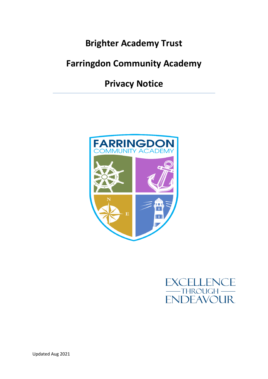# **Brighter Academy Trust**

# **Farringdon Community Academy**

**Privacy Notice**





Updated Aug 2021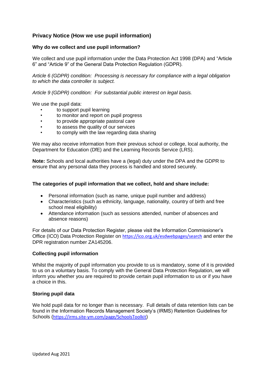# **Privacy Notice (How we use pupil information)**

# **Why do we collect and use pupil information?**

We collect and use pupil information under the Data Protection Act 1998 (DPA) and "Article 6" and "Article 9" of the General Data Protection Regulation (GDPR).

*Article 6 (GDPR) condition: Processing is necessary for compliance with a legal obligation to which the data controller is subject.*

*Article 9 (GDPR) condition: For substantial public interest on legal basis.*

We use the pupil data:

- to support pupil learning
- to monitor and report on pupil progress
- to provide appropriate pastoral care
- to assess the quality of our services
- to comply with the law regarding data sharing

We may also receive information from their previous school or college, local authority, the Department for Education (DfE) and the Learning Records Service (LRS).

**Note:** Schools and local authorities have a (legal) duty under the DPA and the GDPR to ensure that any personal data they process is handled and stored securely.

# **The categories of pupil information that we collect, hold and share include:**

- Personal information (such as name, unique pupil number and address)
- Characteristics (such as ethnicity, language, nationality, country of birth and free school meal eligibility)
- Attendance information (such as sessions attended, number of absences and absence reasons)

For details of our Data Protection Register, please visit the Information Commissioner's Office (ICO) Data Protection Register on <https://ico.org.uk/esdwebpages/search> and enter the DPR registration number ZA145206.

#### **Collecting pupil information**

Whilst the majority of pupil information you provide to us is mandatory, some of it is provided to us on a voluntary basis. To comply with the General Data Protection Regulation, we will inform you whether you are required to provide certain pupil information to us or if you have a choice in this.

# **Storing pupil data**

We hold pupil data for no longer than is necessary. Full details of data retention lists can be found in the Information Records Management Society's (IRMS) Retention Guidelines for Schools (<https://irms.site-ym.com/page/SchoolsToolkit>)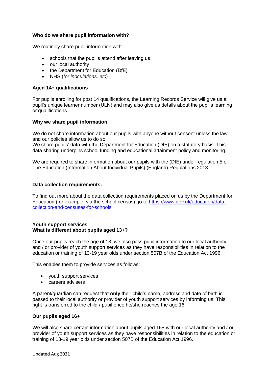# **Who do we share pupil information with?**

We routinely share pupil information with:

- schools that the pupil's attend after leaving us
- our local authority
- the Department for Education (DfE)
- NHS (*for inoculations, etc*)

#### **Aged 14+ qualifications**

For pupils enrolling for post 14 qualifications, the Learning Records Service will give us a pupil's unique learner number (ULN) and may also give us details about the pupil's learning or qualifications

#### **Why we share pupil information**

We do not share information about our pupils with anyone without consent unless the law and our policies allow us to do so.

We share pupils' data with the Department for Education (DfE) on a statutory basis. This data sharing underpins school funding and educational attainment policy and monitoring.

We are required to share information about our pupils with the (DfE) under regulation 5 of The Education (Information About Individual Pupils) (England) Regulations 2013.

#### **Data collection requirements:**

To find out more about the data collection requirements placed on us by the Department for Education (for example; via the school census) go to [https://www.gov.uk/education/data](https://www.gov.uk/education/data-collection-and-censuses-for-schools)[collection-and-censuses-for-schools.](https://www.gov.uk/education/data-collection-and-censuses-for-schools)

#### **Youth support services What is different about pupils aged 13+?**

Once our pupils reach the age of 13, we also pass pupil information to our local authority and / or provider of youth support services as they have responsibilities in relation to the education or training of 13-19 year olds under section 507B of the Education Act 1996.

This enables them to provide services as follows:

- vouth support services
- **Careers advisers**

A parent/guardian can request that **only** their child's name, address and date of birth is passed to their local authority or provider of youth support services by informing us. This right is transferred to the child / pupil once he/she reaches the age 16.

#### **Our pupils aged 16+**

We will also share certain information about pupils aged 16+ with our local authority and / or provider of youth support services as they have responsibilities in relation to the education or training of 13-19 year olds under section 507B of the Education Act 1996.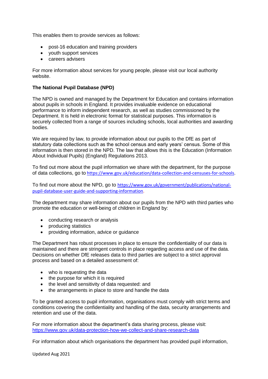This enables them to provide services as follows:

- post-16 education and training providers
- youth support services
- careers advisers

For more information about services for young people, please visit our local authority website.

# **The National Pupil Database (NPD)**

The NPD is owned and managed by the Department for Education and contains information about pupils in schools in England. It provides invaluable evidence on educational performance to inform independent research, as well as studies commissioned by the Department. It is held in electronic format for statistical purposes. This information is securely collected from a range of sources including schools, local authorities and awarding bodies.

We are required by law, to provide information about our pupils to the DfE as part of statutory data collections such as the school census and early years' census. Some of this information is then stored in the NPD. The law that allows this is the Education (Information About Individual Pupils) (England) Regulations 2013.

To find out more about the pupil information we share with the department, for the purpose of data collections, go to <https://www.gov.uk/education/data-collection-and-censuses-for-schools>.

To find out more about the NPD, go to [https://www.gov.uk/government/publications/national](https://www.gov.uk/government/publications/national-pupil-database-user-guide-and-supporting-information)[pupil-database-user-guide-and-supporting-information](https://www.gov.uk/government/publications/national-pupil-database-user-guide-and-supporting-information).

The department may share information about our pupils from the NPD with third parties who promote the education or well-being of children in England by:

- conducting research or analysis
- producing statistics
- providing information, advice or guidance

The Department has robust processes in place to ensure the confidentiality of our data is maintained and there are stringent controls in place regarding access and use of the data. Decisions on whether DfE releases data to third parties are subject to a strict approval process and based on a detailed assessment of:

- who is requesting the data
- the purpose for which it is required
- the level and sensitivity of data requested: and
- the arrangements in place to store and handle the data

To be granted access to pupil information, organisations must comply with strict terms and conditions covering the confidentiality and handling of the data, security arrangements and retention and use of the data.

For more information about the department's data sharing process, please visit: <https://www.gov.uk/data-protection-how-we-collect-and-share-research-data>

For information about which organisations the department has provided pupil information,

Updated Aug 2021